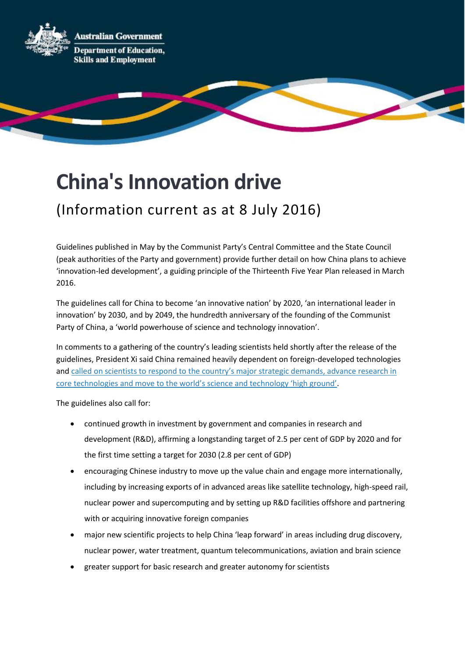**Australian Government** 



**Department of Education, Skills and Employment** 

## **China's Innovation drive**

## (Information current as at 8 July 2016)

Guidelines published in May by the Communist Party's Central Committee and the State Council (peak authorities of the Party and government) provide further detail on how China plans to achieve 'innovation-led development', a guiding principle of the Thirteenth Five Year Plan released in March 2016.

The guidelines call for China to become 'an innovative nation' by 2020, 'an international leader in innovation' by 2030, and by 2049, the hundredth anniversary of the founding of the Communist Party of China, a 'world powerhouse of science and technology innovation'.

In comments to a gathering of the country's leading scientists held shortly after the release of the guidelines, President Xi said China remained heavily dependent on foreign-developed technologies and [called on scientists to respond to the country's major strate](http://news.xinhuanet.com/english/2016-05/30/c_135399691.htm)gic demands, advance research in [core technologies and move to the world's science and technology 'high ground'](http://news.xinhuanet.com/english/2016-05/30/c_135399691.htm).

The guidelines also call for:

- continued growth in investment by government and companies in research and development (R&D), affirming a longstanding target of 2.5 per cent of GDP by 2020 and for the first time setting a target for 2030 (2.8 per cent of GDP)
- encouraging Chinese industry to move up the value chain and engage more internationally, including by increasing exports of in advanced areas like satellite technology, high-speed rail, nuclear power and supercomputing and by setting up R&D facilities offshore and partnering with or acquiring innovative foreign companies
- major new scientific projects to help China 'leap forward' in areas including drug discovery, nuclear power, water treatment, quantum telecommunications, aviation and brain science
- greater support for basic research and greater autonomy for scientists